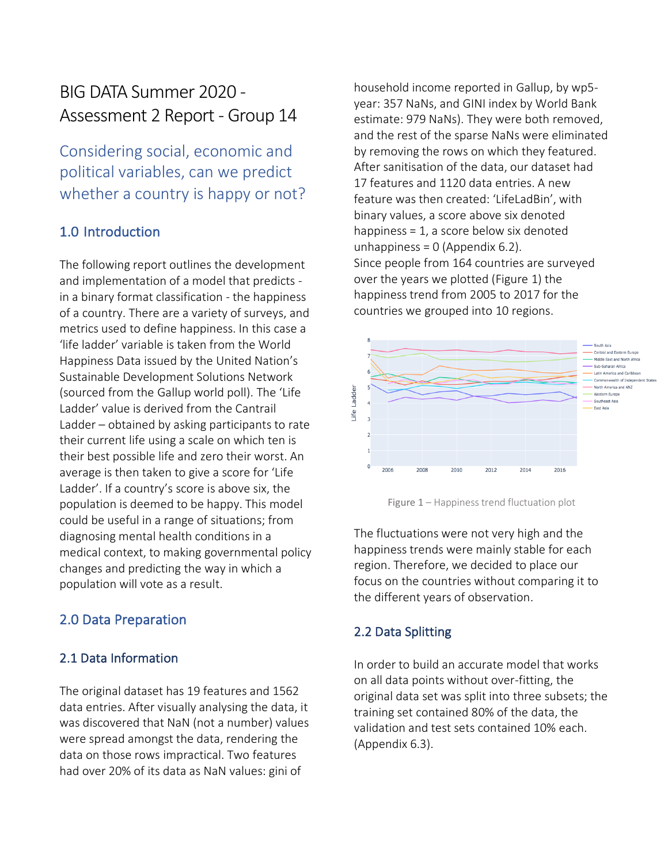# BIG DATA Summer 2020 - Assessment 2 Report - Group 14

Considering social, economic and political variables, can we predict whether a country is happy or not?

# 1.0 Introduction

The following report outlines the development and implementation of a model that predicts in a binary format classification - the happiness of a country. There are a variety of surveys, and metrics used to define happiness. In this case a 'life ladder' variable is taken from the World Happiness Data issued by the United Nation's Sustainable Development Solutions Network (sourced from the Gallup world poll). The 'Life Ladder' value is derived from the Cantrail Ladder – obtained by asking participants to rate their current life using a scale on which ten is their best possible life and zero their worst. An average is then taken to give a score for 'Life Ladder'. If a country's score is above six, the population is deemed to be happy. This model could be useful in a range of situations; from diagnosing mental health conditions in a medical context, to making governmental policy changes and predicting the way in which a population will vote as a result.

## 2.0 Data Preparation

## 2.1 Data Information

The original dataset has 19 features and 1562 data entries. After visually analysing the data, it was discovered that NaN (not a number) values were spread amongst the data, rendering the data on those rows impractical. Two features had over 20% of its data as NaN values: gini of

household income reported in Gallup, by wp5 year: 357 NaNs, and GINI index by World Bank estimate: 979 NaNs). They were both removed, and the rest of the sparse NaNs were eliminated by removing the rows on which they featured. After sanitisation of the data, our dataset had 17 features and 1120 data entries. A new feature was then created: 'LifeLadBin', with binary values, a score above six denoted happiness = 1, a score below six denoted unhappiness =  $0$  (Appendix 6.2). Since people from 164 countries are surveyed over the years we plotted (Figure 1) the happiness trend from 2005 to 2017 for the countries we grouped into 10 regions.



Figure 1 – Happiness trend fluctuation plot

The fluctuations were not very high and the happiness trends were mainly stable for each region. Therefore, we decided to place our focus on the countries without comparing it to the different years of observation.

#### 2.2 Data Splitting

In order to build an accurate model that works on all data points without over-fitting, the original data set was split into three subsets; the training set contained 80% of the data, the validation and test sets contained 10% each. (Appendix 6.3).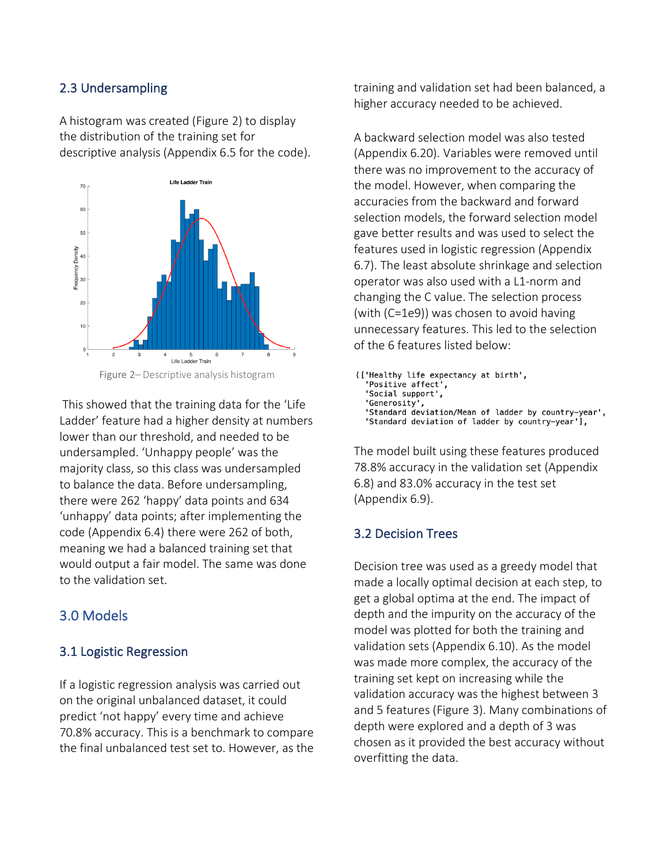## 2.3 Undersampling

A histogram was created (Figure 2) to display the distribution of the training set for descriptive analysis (Appendix 6.5 for the code).





This showed that the training data for the 'Life Ladder' feature had a higher density at numbers lower than our threshold, and needed to be undersampled. 'Unhappy people' was the majority class, so this class was undersampled to balance the data. Before undersampling, there were 262 'happy' data points and 634 'unhappy' data points; after implementing the code (Appendix 6.4) there were 262 of both, meaning we had a balanced training set that would output a fair model. The same was done to the validation set.

## 3.0 Models

#### 3.1 Logistic Regression

If a logistic regression analysis was carried out on the original unbalanced dataset, it could predict 'not happy' every time and achieve 70.8% accuracy. This is a benchmark to compare the final unbalanced test set to. However, as the

training and validation set had been balanced, a higher accuracy needed to be achieved.

A backward selection model was also tested (Appendix 6.20). Variables were removed until there was no improvement to the accuracy of the model. However, when comparing the accuracies from the backward and forward selection models, the forward selection model gave better results and was used to select the features used in logistic regression (Appendix 6.7). The least absolute shrinkage and selection operator was also used with a L1-norm and changing the C value. The selection process (with (C=1e9)) was chosen to avoid having unnecessary features. This led to the selection of the 6 features listed below:

(['Healthy life expectancy at birth', 'Positive affect', 'Social support', 'Generosity', 'Standard deviation/Mean of ladder by country-year', 'Standard deviation of ladder by country-year'],

The model built using these features produced 78.8% accuracy in the validation set (Appendix 6.8) and 83.0% accuracy in the test set (Appendix 6.9).

## 3.2 Decision Trees

Decision tree was used as a greedy model that made a locally optimal decision at each step, to get a global optima at the end. The impact of depth and the impurity on the accuracy of the model was plotted for both the training and validation sets (Appendix 6.10). As the model was made more complex, the accuracy of the training set kept on increasing while the validation accuracy was the highest between 3 and 5 features (Figure 3). Many combinations of depth were explored and a depth of 3 was chosen as it provided the best accuracy without overfitting the data.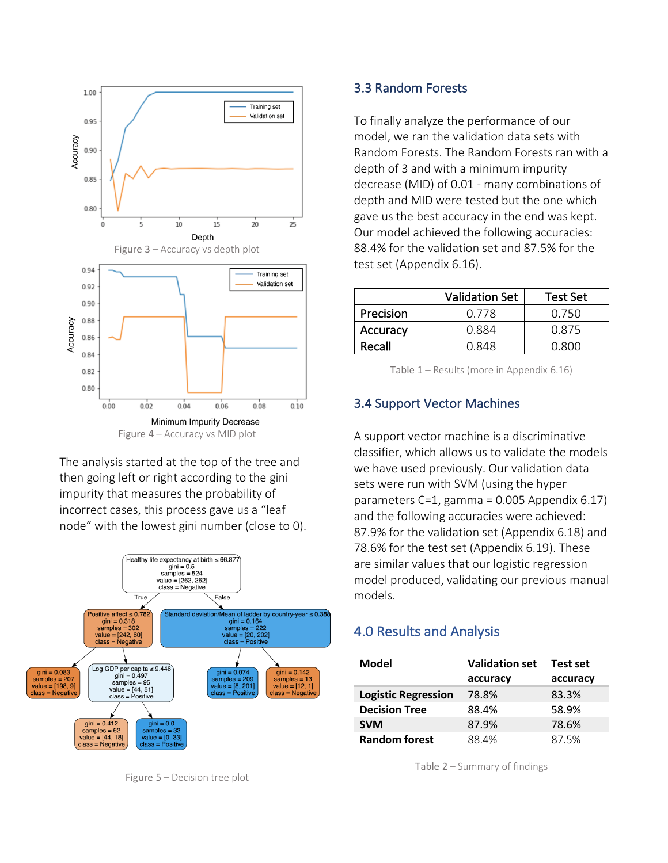

The analysis started at the top of the tree and then going left or right according to the gini impurity that measures the probability of incorrect cases, this process gave us a "leaf node" with the lowest gini number (close to 0).



Figure 5 – Decision tree plot

#### 3.3 Random Forests

To finally analyze the performance of our model, we ran the validation data sets with Random Forests. The Random Forests ran with a depth of 3 and with a minimum impurity decrease (MID) of 0.01 - many combinations of depth and MID were tested but the one which gave us the best accuracy in the end was kept. Our model achieved the following accuracies: 88.4% for the validation set and 87.5% for the test set (Appendix 6.16).

|           | <b>Validation Set</b> | Test Set     |
|-----------|-----------------------|--------------|
| Precision | 0 778                 | <u>በ 750</u> |
| Accuracy  | 0.884                 | 0.875        |
| Recall    | <u>በ 848</u>          | N 800        |

Table 1 – Results (more in Appendix 6.16)

#### 3.4 Support Vector Machines

A support vector machine is a discriminative classifier, which allows us to validate the models we have used previously. Our validation data sets were run with SVM (using the hyper parameters C=1, gamma = 0.005 Appendix 6.17) and the following accuracies were achieved: 87.9% for the validation set (Appendix 6.18) and 78.6% for the test set (Appendix 6.19). These are similar values that our logistic regression model produced, validating our previous manual models.

#### 4.0 Results and Analysis

| Model                      | <b>Validation set</b> | Test set |  |
|----------------------------|-----------------------|----------|--|
|                            | accuracy              | accuracy |  |
| <b>Logistic Regression</b> | 78.8%                 | 83.3%    |  |
| <b>Decision Tree</b>       | 88.4%                 | 58.9%    |  |
| <b>SVM</b>                 | 87.9%                 | 78.6%    |  |
| <b>Random forest</b>       | 88.4%                 | 87.5%    |  |

Table 2 – Summary of findings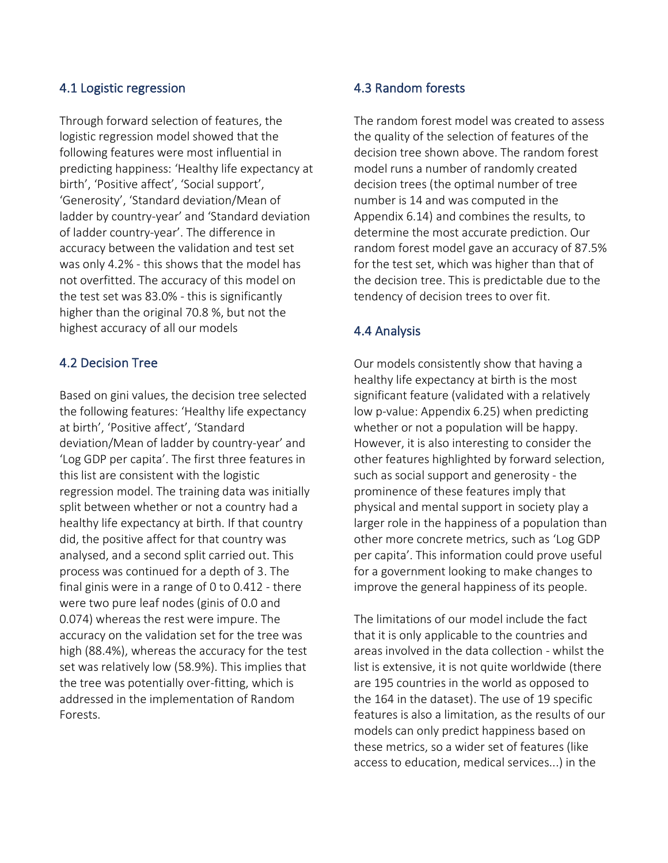#### 4.1 Logistic regression

Through forward selection of features, the logistic regression model showed that the following features were most influential in predicting happiness: 'Healthy life expectancy at birth', 'Positive affect', 'Social support', 'Generosity', 'Standard deviation/Mean of ladder by country-year' and 'Standard deviation of ladder country-year'. The difference in accuracy between the validation and test set was only 4.2% - this shows that the model has not overfitted. The accuracy of this model on the test set was 83.0% - this is significantly higher than the original 70.8 %, but not the highest accuracy of all our models

### 4.2 Decision Tree

Based on gini values, the decision tree selected the following features: 'Healthy life expectancy at birth', 'Positive affect', 'Standard deviation/Mean of ladder by country-year' and 'Log GDP per capita'. The first three features in this list are consistent with the logistic regression model. The training data was initially split between whether or not a country had a healthy life expectancy at birth. If that country did, the positive affect for that country was analysed, and a second split carried out. This process was continued for a depth of 3. The final ginis were in a range of 0 to 0.412 - there were two pure leaf nodes (ginis of 0.0 and 0.074) whereas the rest were impure. The accuracy on the validation set for the tree was high (88.4%), whereas the accuracy for the test set was relatively low (58.9%). This implies that the tree was potentially over-fitting, which is addressed in the implementation of Random Forests.

### 4.3 Random forests

The random forest model was created to assess the quality of the selection of features of the decision tree shown above. The random forest model runs a number of randomly created decision trees (the optimal number of tree number is 14 and was computed in the Appendix 6.14) and combines the results, to determine the most accurate prediction. Our random forest model gave an accuracy of 87.5% for the test set, which was higher than that of the decision tree. This is predictable due to the tendency of decision trees to over fit.

## 4.4 Analysis

Our models consistently show that having a healthy life expectancy at birth is the most significant feature (validated with a relatively low p-value: Appendix 6.25) when predicting whether or not a population will be happy. However, it is also interesting to consider the other features highlighted by forward selection, such as social support and generosity - the prominence of these features imply that physical and mental support in society play a larger role in the happiness of a population than other more concrete metrics, such as 'Log GDP per capita'. This information could prove useful for a government looking to make changes to improve the general happiness of its people.

The limitations of our model include the fact that it is only applicable to the countries and areas involved in the data collection - whilst the list is extensive, it is not quite worldwide (there are 195 countries in the world as opposed to the 164 in the dataset). The use of 19 specific features is also a limitation, as the results of our models can only predict happiness based on these metrics, so a wider set of features (like access to education, medical services...) in the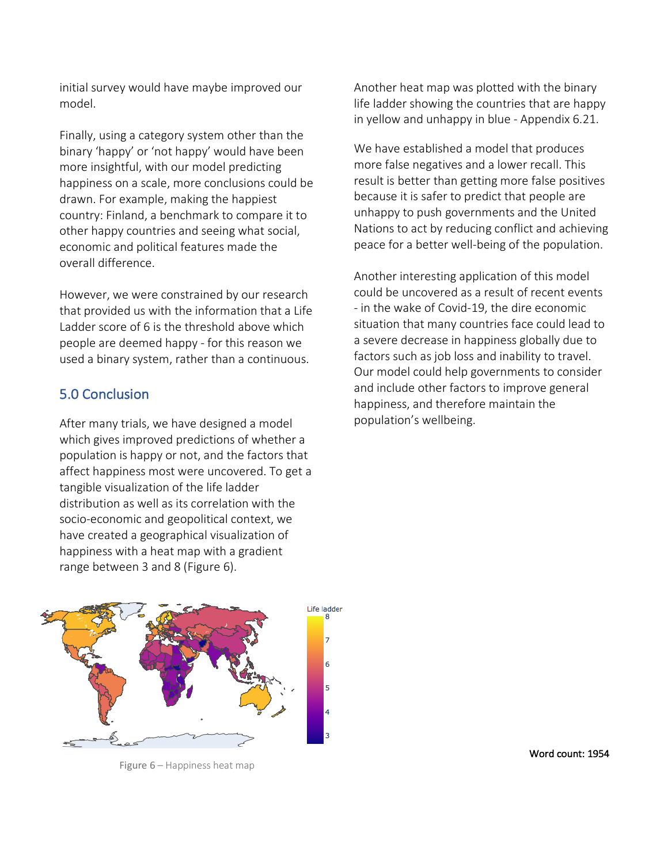initial survey would have maybe improved our model.

Finally, using a category system other than the binary 'happy' or 'not happy' would have been more insightful, with our model predicting happiness on a scale, more conclusions could be drawn. For example, making the happiest country: Finland, a benchmark to compare it to other happy countries and seeing what social, economic and political features made the overall difference.

However, we were constrained by our research that provided us with the information that a Life Ladder score of 6 is the threshold above which people are deemed happy - for this reason we used a binary system, rather than a continuous.

# 5.0 Conclusion

After many trials, we have designed a model which gives improved predictions of whether a population is happy or not, and the factors that affect happiness most were uncovered. To get a tangible visualization of the life ladder distribution as well as its correlation with the socio-economic and geopolitical context, we have created a geographical visualization of happiness with a heat map with a gradient range between 3 and 8 (Figure 6).

Another heat map was plotted with the binary life ladder showing the countries that are happy in yellow and unhappy in blue - Appendix 6.21.

We have established a model that produces more false negatives and a lower recall. This result is better than getting more false positives because it is safer to predict that people are unhappy to push governments and the United Nations to act by reducing conflict and achieving peace for a better well-being of the population.

Another interesting application of this model could be uncovered as a result of recent events - in the wake of Covid-19, the dire economic situation that many countries face could lead to a severe decrease in happiness globally due to factors such as job loss and inability to travel. Our model could help governments to consider and include other factors to improve general happiness, and therefore maintain the population's wellbeing.



Figure 6 – Happiness heat map

Word count: 1954